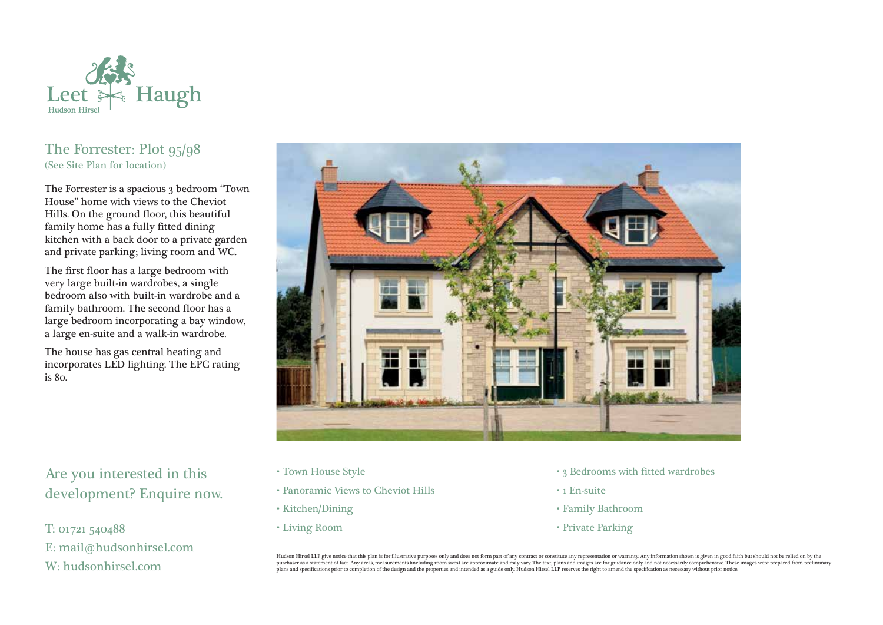

# The Forrester: Plot 95/98 (See Site Plan for location)

The Forrester is a spacious 3 bedroom "Town" House" home with views to the Cheviot Hills. On the ground floor, this beautiful family home has a fully fitted dining kitchen with a back door to a private garden and private parking; living room and WC.

The first floor has a large bedroom with very large built-in wardrobes, a single bedroom also with built-in wardrobe and a family bathroom. The second floor has a large bedroom incorporating a bay window, a large en-suite and a walk-in wardrobe.

The house has gas central heating and incorporates LED lighting. The EPC rating is 80.



Are you interested in this development? Enquire now.

T: 01721 540488 E: mail@hudsonhirsel.com W: hudsonhirsel.com

- Town House Style
- Panoramic Views to Cheviot Hills
- Kitchen/Dining
- Living Room
- 3 Bedrooms with fitted wardrobes
- 1 En-suite
- Family Bathroom
- Private Parking

Hudson Hirsel LLP give notice that this plan is for illustrative purposes only and does not form part of any contract or constitute any representation or warranty. Any information shown is given in good faith but should no purchaser as a statement of fact. Any areas, measurements (including room sizes) are approximate and may vary. The text, plans and images are for guidance only and not necessarily comprehensive. These images were prepared